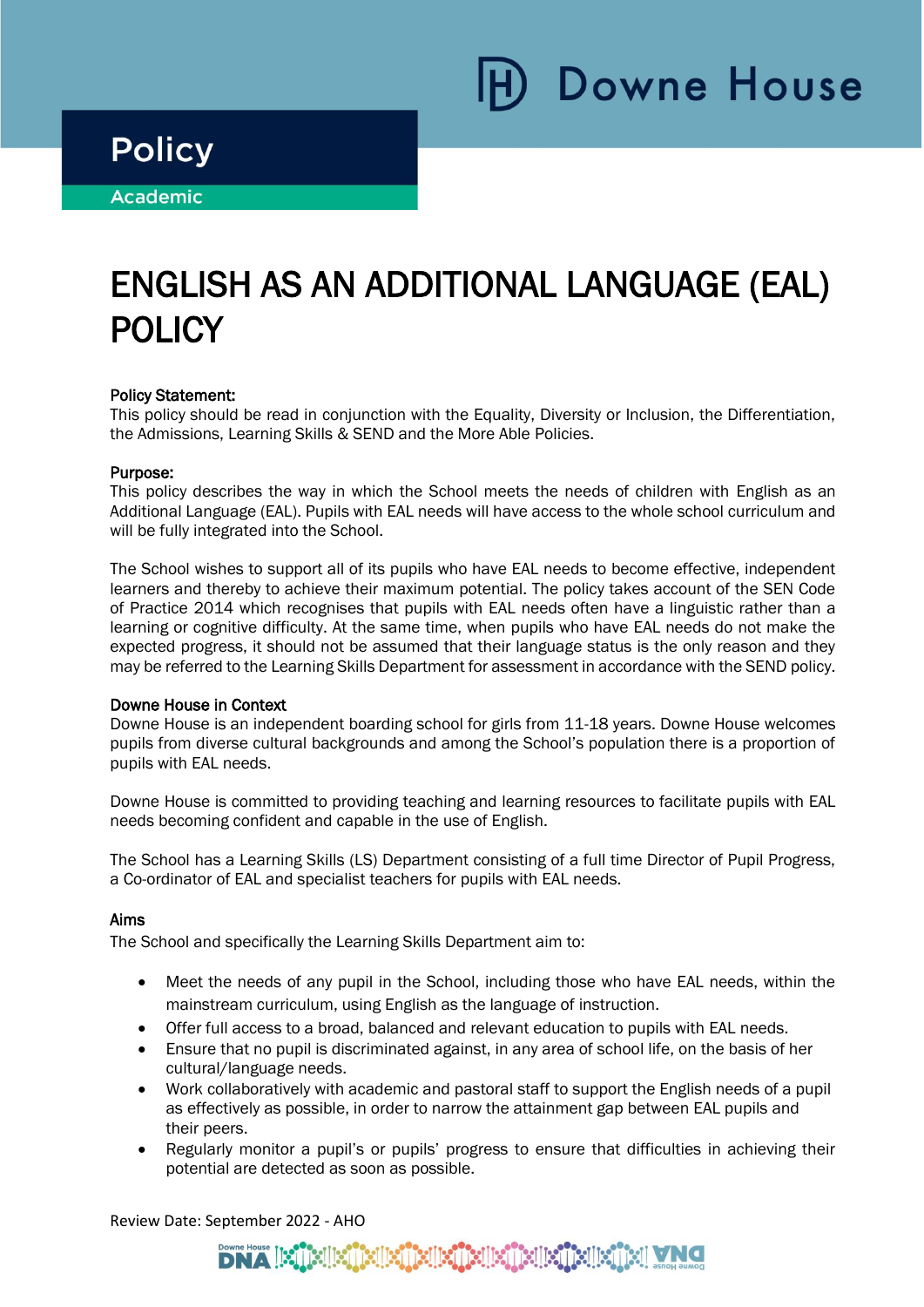Downe House

## **Policy**

i

٦

**Academic** 

# ENGLISH AS AN ADDITIONAL LANGUAGE (EAL) POLICY

### Policy Statement:

This policy should be read in conjunction with the Equality, Diversity or Inclusion, the Differentiation, the Admissions, Learning Skills & SEND and the More Able Policies.

#### Purpose:

This policy describes the way in which the School meets the needs of children with English as an Additional Language (EAL). Pupils with EAL needs will have access to the whole school curriculum and will be fully integrated into the School.

The School wishes to support all of its pupils who have EAL needs to become effective, independent learners and thereby to achieve their maximum potential. The policy takes account of the SEN Code of Practice 2014 which recognises that pupils with EAL needs often have a linguistic rather than a learning or cognitive difficulty. At the same time, when pupils who have EAL needs do not make the expected progress, it should not be assumed that their language status is the only reason and they may be referred to the Learning Skills Department for assessment in accordance with the SEND policy.

#### Downe House in Context

Downe House is an independent boarding school for girls from 11-18 years. Downe House welcomes pupils from diverse cultural backgrounds and among the School's population there is a proportion of pupils with EAL needs.

Downe House is committed to providing teaching and learning resources to facilitate pupils with EAL needs becoming confident and capable in the use of English.

The School has a Learning Skills (LS) Department consisting of a full time Director of Pupil Progress, a Co-ordinator of EAL and specialist teachers for pupils with EAL needs.

#### Aims

The School and specifically the Learning Skills Department aim to:

- Meet the needs of any pupil in the School, including those who have EAL needs, within the mainstream curriculum, using English as the language of instruction.
- Offer full access to a broad, balanced and relevant education to pupils with EAL needs.
- Ensure that no pupil is discriminated against, in any area of school life, on the basis of her cultural/language needs.
- Work collaboratively with academic and pastoral staff to support the English needs of a pupil as effectively as possible, in order to narrow the attainment gap between EAL pupils and their peers.
- Regularly monitor a pupil's or pupils' progress to ensure that difficulties in achieving their potential are detected as soon as possible.

Review Date: September 2022 - AHO

## alle mellemellemellemellemelle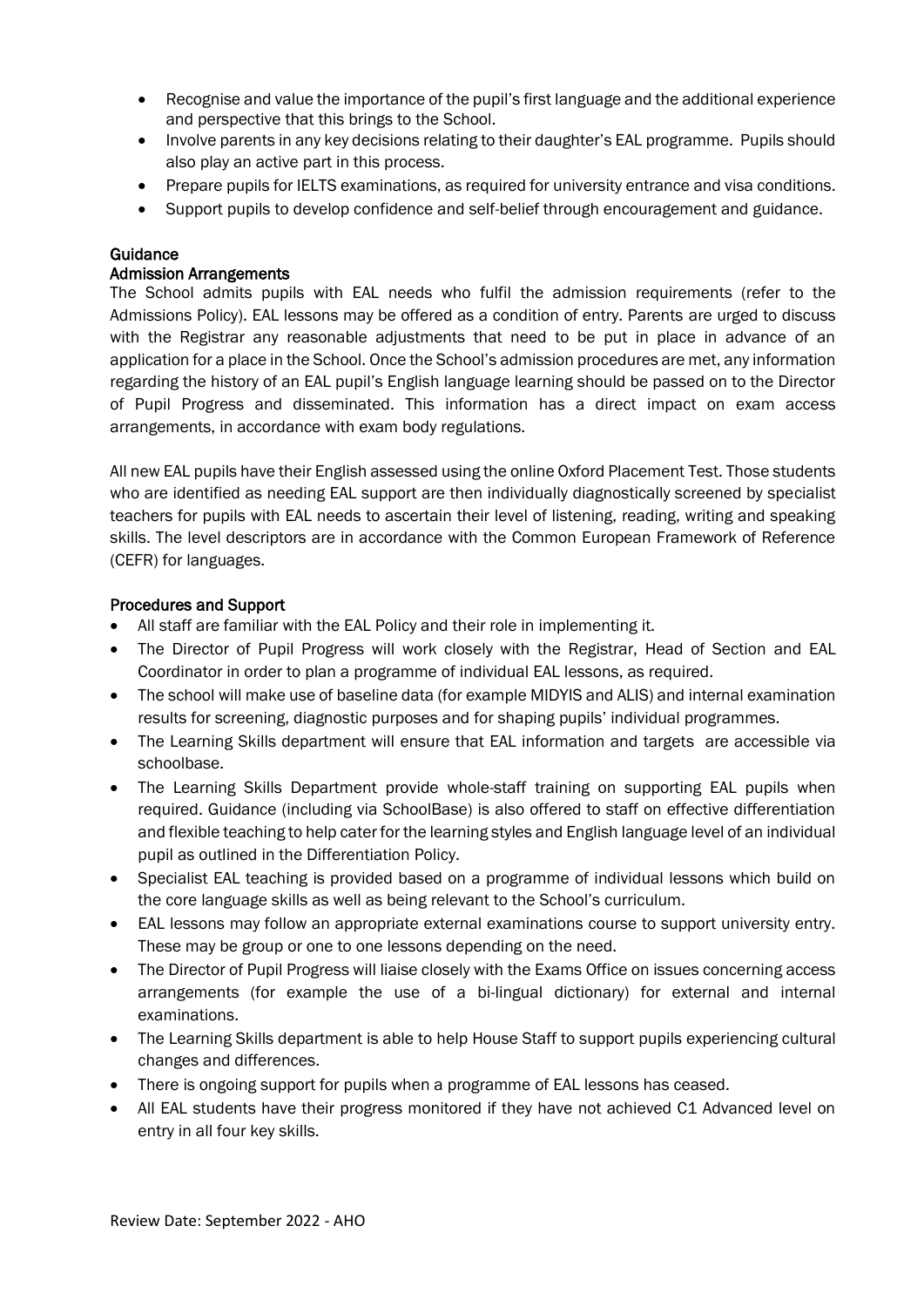- Recognise and value the importance of the pupil's first language and the additional experience and perspective that this brings to the School.
- Involve parents in any key decisions relating to their daughter's EAL programme. Pupils should also play an active part in this process.
- Prepare pupils for IELTS examinations, as required for university entrance and visa conditions.
- Support pupils to develop confidence and self-belief through encouragement and guidance.

### Guidance

#### Admission Arrangements

The School admits pupils with EAL needs who fulfil the admission requirements (refer to the Admissions Policy). EAL lessons may be offered as a condition of entry. Parents are urged to discuss with the Registrar any reasonable adjustments that need to be put in place in advance of an application for a place in the School. Once the School's admission procedures are met, any information regarding the history of an EAL pupil's English language learning should be passed on to the Director of Pupil Progress and disseminated. This information has a direct impact on exam access arrangements, in accordance with exam body regulations.

All new EAL pupils have their English assessed using the online Oxford Placement Test. Those students who are identified as needing EAL support are then individually diagnostically screened by specialist teachers for pupils with EAL needs to ascertain their level of listening, reading, writing and speaking skills. The level descriptors are in accordance with the Common European Framework of Reference (CEFR) for languages.

### Procedures and Support

- All staff are familiar with the EAL Policy and their role in implementing it.
- The Director of Pupil Progress will work closely with the Registrar, Head of Section and EAL Coordinator in order to plan a programme of individual EAL lessons, as required.
- The school will make use of baseline data (for example MIDYIS and ALIS) and internal examination results for screening, diagnostic purposes and for shaping pupils' individual programmes.
- The Learning Skills department will ensure that EAL information and targets are accessible via schoolbase.
- The Learning Skills Department provide whole-staff training on supporting EAL pupils when required. Guidance (including via SchoolBase) is also offered to staff on effective differentiation and flexible teaching to help cater for the learning styles and English language level of an individual pupil as outlined in the Differentiation Policy.
- Specialist EAL teaching is provided based on a programme of individual lessons which build on the core language skills as well as being relevant to the School's curriculum.
- EAL lessons may follow an appropriate external examinations course to support university entry. These may be group or one to one lessons depending on the need.
- The Director of Pupil Progress will liaise closely with the Exams Office on issues concerning access arrangements (for example the use of a bi-lingual dictionary) for external and internal examinations.
- The Learning Skills department is able to help House Staff to support pupils experiencing cultural changes and differences.
- There is ongoing support for pupils when a programme of EAL lessons has ceased.
- All EAL students have their progress monitored if they have not achieved C1 Advanced level on entry in all four key skills.